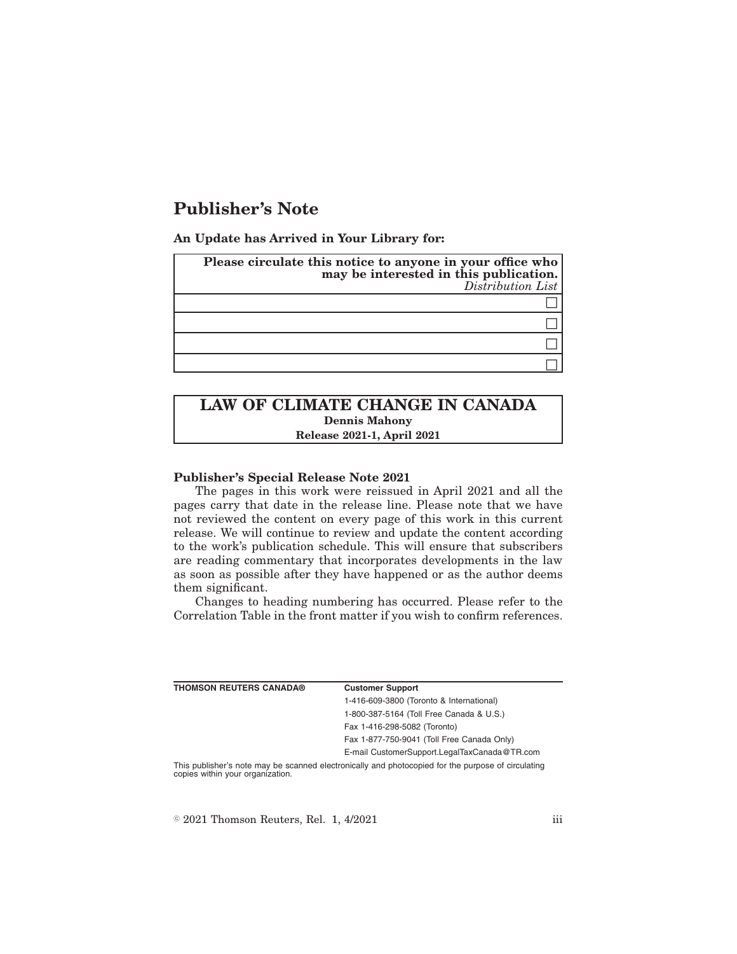# **Publisher's Note**

**An Update has Arrived in Your Library for:**

| Please circulate this notice to anyone in your office who<br>may be interested in this publication.<br>Distribution List |
|--------------------------------------------------------------------------------------------------------------------------|
|                                                                                                                          |
|                                                                                                                          |
|                                                                                                                          |
|                                                                                                                          |

## **LAW OF CLIMATE CHANGE IN CANADA Dennis Mahony Release 2021-1, April 2021**

### **Publisher's Special Release Note 2021**

The pages in this work were reissued in April 2021 and all the pages carry that date in the release line. Please note that we have not reviewed the content on every page of this work in this current release. We will continue to review and update the content according to the work's publication schedule. This will ensure that subscribers are reading commentary that incorporates developments in the law as soon as possible after they have happened or as the author deems them significant.

Changes to heading numbering has occurred. Please refer to the Correlation Table in the front matter if you wish to confirm references.

| <b>THOMSON REUTERS CANADA®</b>                                                                     | <b>Customer Support</b>                      |
|----------------------------------------------------------------------------------------------------|----------------------------------------------|
|                                                                                                    | 1-416-609-3800 (Toronto & International)     |
|                                                                                                    | 1-800-387-5164 (Toll Free Canada & U.S.)     |
|                                                                                                    | Fax 1-416-298-5082 (Toronto)                 |
|                                                                                                    | Fax 1-877-750-9041 (Toll Free Canada Only)   |
|                                                                                                    | E-mail CustomerSupport.LegalTaxCanada@TR.com |
| This publisher's note may be scanned electronically and photocopied for the purpose of circulating |                                              |

copies within your organization.

 $\textdegree$  2021 Thomson Reuters, Rel. 1, 4/2021 iii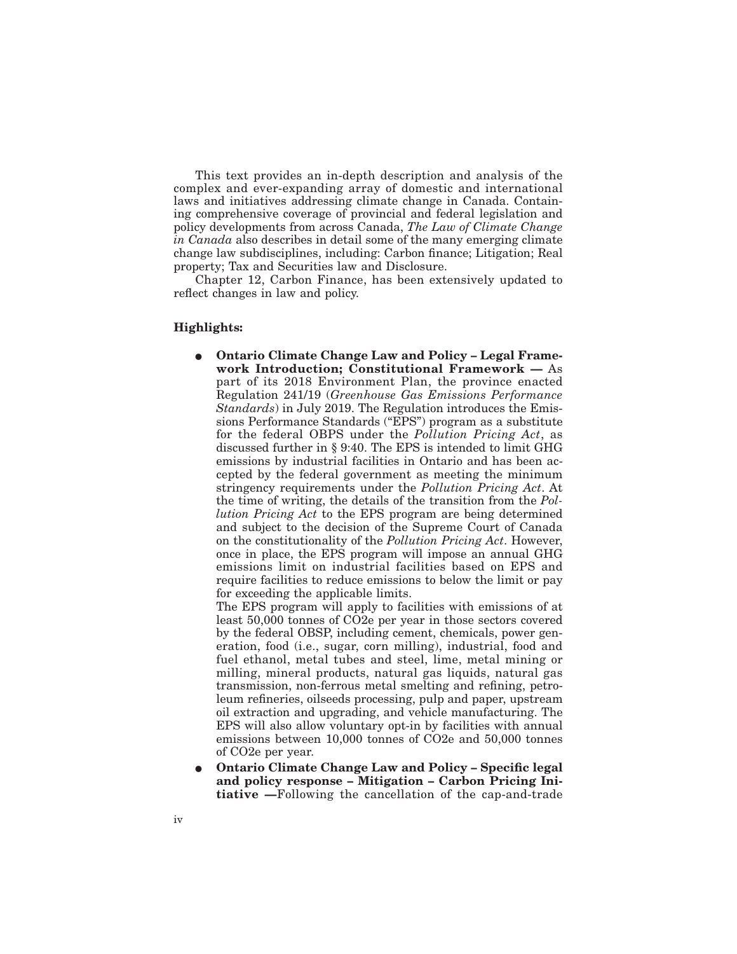This text provides an in-depth description and analysis of the complex and ever-expanding array of domestic and international laws and initiatives addressing climate change in Canada. Containing comprehensive coverage of provincial and federal legislation and policy developments from across Canada, *The Law of Climate Change in Canada* also describes in detail some of the many emerging climate change law subdisciplines, including: Carbon finance; Litigation; Real property; Tax and Securities law and Disclosure.

Chapter 12, Carbon Finance, has been extensively updated to reflect changes in law and policy.

### **Highlights:**

E **Ontario Climate Change Law and Policy – Legal Framework Introduction; Constitutional Framework —** As part of its 2018 Environment Plan, the province enacted Regulation 241/19 (*Greenhouse Gas Emissions Performance Standards*) in July 2019. The Regulation introduces the Emissions Performance Standards ("EPS") program as a substitute for the federal OBPS under the *Pollution Pricing Act*, as discussed further in § 9:40. The EPS is intended to limit GHG emissions by industrial facilities in Ontario and has been accepted by the federal government as meeting the minimum stringency requirements under the *Pollution Pricing Act*. At the time of writing, the details of the transition from the *Pollution Pricing Act* to the EPS program are being determined and subject to the decision of the Supreme Court of Canada on the constitutionality of the *Pollution Pricing Act*. However, once in place, the EPS program will impose an annual GHG emissions limit on industrial facilities based on EPS and require facilities to reduce emissions to below the limit or pay for exceeding the applicable limits.

The EPS program will apply to facilities with emissions of at least 50,000 tonnes of CO2e per year in those sectors covered by the federal OBSP, including cement, chemicals, power generation, food (i.e., sugar, corn milling), industrial, food and fuel ethanol, metal tubes and steel, lime, metal mining or milling, mineral products, natural gas liquids, natural gas transmission, non-ferrous metal smelting and refining, petroleum refineries, oilseeds processing, pulp and paper, upstream oil extraction and upgrading, and vehicle manufacturing. The EPS will also allow voluntary opt-in by facilities with annual emissions between 10,000 tonnes of CO2e and 50,000 tonnes of CO2e per year.

E **Ontario Climate Change Law and Policy – Specific legal and policy response – Mitigation – Carbon Pricing Initiative —**Following the cancellation of the cap-and-trade